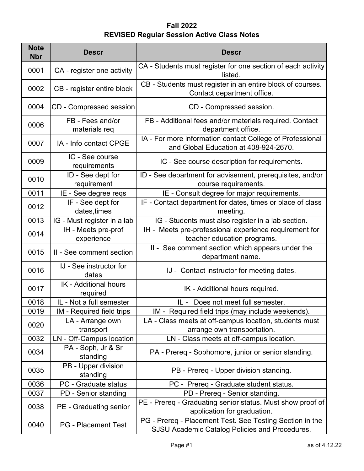| <b>Note</b><br><b>Nbr</b> | <b>Descr</b>                      | <b>Descr</b>                                                                                               |
|---------------------------|-----------------------------------|------------------------------------------------------------------------------------------------------------|
| 0001                      | CA - register one activity        | CA - Students must register for one section of each activity<br>listed.                                    |
| 0002                      | CB - register entire block        | CB - Students must register in an entire block of courses.<br>Contact department office.                   |
| 0004                      | CD - Compressed session           | CD - Compressed session.                                                                                   |
| 0006                      | FB - Fees and/or<br>materials req | FB - Additional fees and/or materials required. Contact<br>department office.                              |
| 0007                      | IA - Info contact CPGE            | IA - For more information contact College of Professional<br>and Global Education at 408-924-2670.         |
| 0009                      | IC - See course<br>requirements   | IC - See course description for requirements.                                                              |
| 0010                      | ID - See dept for<br>requirement  | ID - See department for advisement, prerequisites, and/or<br>course requirements.                          |
| 0011                      | IE - See degree reqs              | IE - Consult degree for major requirements.                                                                |
| 0012                      | IF - See dept for<br>dates, times | IF - Contact department for dates, times or place of class<br>meeting.                                     |
| 0013                      | IG - Must register in a lab       | IG - Students must also register in a lab section.                                                         |
| 0014                      | IH - Meets pre-prof<br>experience | IH - Meets pre-professional experience requirement for<br>teacher education programs.                      |
| 0015                      | II - See comment section          | II - See comment section which appears under the<br>department name.                                       |
| 0016                      | IJ - See instructor for<br>dates  | IJ - Contact instructor for meeting dates.                                                                 |
| 0017                      | IK - Additional hours<br>required | IK - Additional hours required.                                                                            |
| 0018                      | IL - Not a full semester          | IL - Does not meet full semester.                                                                          |
| 0019                      | IM - Required field trips         | IM - Required field trips (may include weekends).                                                          |
| 0020                      | LA - Arrange own<br>transport     | LA - Class meets at off-campus location, students must<br>arrange own transportation.                      |
| 0032                      | LN - Off-Campus location          | LN - Class meets at off-campus location.                                                                   |
| 0034                      | PA - Soph, Jr & Sr<br>standing    | PA - Prereq - Sophomore, junior or senior standing.                                                        |
| 0035                      | PB - Upper division<br>standing   | PB - Prereq - Upper division standing.                                                                     |
| 0036                      | PC - Graduate status              | PC - Prereq - Graduate student status.                                                                     |
| 0037                      | PD - Senior standing              | PD - Prereq - Senior standing.                                                                             |
| 0038                      | PE - Graduating senior            | PE - Prereq - Graduating senior status. Must show proof of<br>application for graduation.                  |
| 0040                      | <b>PG</b> - Placement Test        | PG - Prereq - Placement Test. See Testing Section in the<br>SJSU Academic Catalog Policies and Procedures. |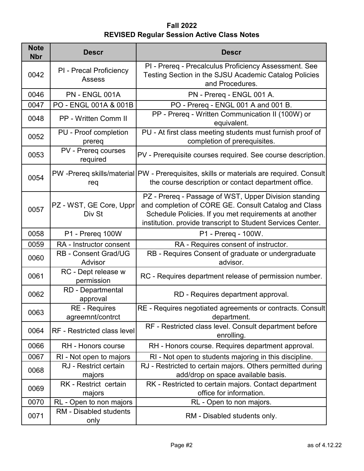| <b>Note</b><br><b>Nbr</b> | <b>Descr</b>                             | <b>Descr</b>                                                                                                                                                                                                                          |
|---------------------------|------------------------------------------|---------------------------------------------------------------------------------------------------------------------------------------------------------------------------------------------------------------------------------------|
| 0042                      | PI - Precal Proficiency<br><b>Assess</b> | PI - Prereq - Precalculus Proficiency Assessment. See<br>Testing Section in the SJSU Academic Catalog Policies<br>and Procedures.                                                                                                     |
| 0046                      | <b>PN - ENGL 001A</b>                    | PN - Prereq - ENGL 001 A.                                                                                                                                                                                                             |
| 0047                      | PO - ENGL 001A & 001B                    | PO - Prereq - ENGL 001 A and 001 B.                                                                                                                                                                                                   |
| 0048                      | <b>PP - Written Comm II</b>              | PP - Prereq - Written Communication II (100W) or<br>equivalent.                                                                                                                                                                       |
| 0052                      | PU - Proof completion<br>prereq          | PU - At first class meeting students must furnish proof of<br>completion of prerequisites.                                                                                                                                            |
| 0053                      | PV - Prereq courses<br>required          | PV - Prerequisite courses required. See course description.                                                                                                                                                                           |
| 0054                      | req                                      | PW-Prereq skills/material PW - Prerequisites, skills or materials are required. Consult<br>the course description or contact department office.                                                                                       |
| 0057                      | PZ - WST, GE Core, Uppr<br>Div St        | PZ - Prereq - Passage of WST, Upper Division standing<br>and completion of CORE GE. Consult Catalog and Class<br>Schedule Policies. If you met requirements at another<br>institution. provide transcript to Student Services Center. |
| 0058                      | P1 - Prereq 100W                         | P1 - Prereq - 100W.                                                                                                                                                                                                                   |
| 0059                      | RA - Instructor consent                  | RA - Requires consent of instructor.                                                                                                                                                                                                  |
| 0060                      | <b>RB - Consent Grad/UG</b><br>Advisor   | RB - Requires Consent of graduate or undergraduate<br>advisor.                                                                                                                                                                        |
| 0061                      | RC - Dept release w<br>permission        | RC - Requires department release of permission number.                                                                                                                                                                                |
| 0062                      | <b>RD</b> - Departmental<br>approval     | RD - Requires department approval.                                                                                                                                                                                                    |
| 0063                      | <b>RE</b> - Requires<br>agreemnt/contrct | RE - Requires negotiated agreements or contracts. Consult<br>department.                                                                                                                                                              |
| 0064                      | RF - Restricted class level              | RF - Restricted class level. Consult department before<br>enrolling.                                                                                                                                                                  |
| 0066                      | RH - Honors course                       | RH - Honors course. Requires department approval.                                                                                                                                                                                     |
| 0067                      | RI - Not open to majors                  | RI - Not open to students majoring in this discipline.                                                                                                                                                                                |
| 0068                      | RJ - Restrict certain<br>majors          | RJ - Restricted to certain majors. Others permitted during<br>add/drop on space available basis.                                                                                                                                      |
| 0069                      | RK - Restrict certain<br>majors          | RK - Restricted to certain majors. Contact department<br>office for information.                                                                                                                                                      |
| 0070                      | RL - Open to non majors                  | RL - Open to non majors.                                                                                                                                                                                                              |
| 0071                      | <b>RM</b> - Disabled students<br>only    | RM - Disabled students only.                                                                                                                                                                                                          |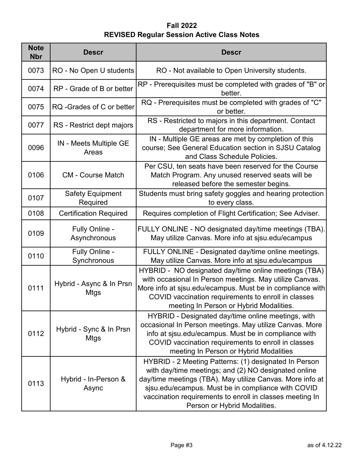| <b>Note</b><br><b>Nbr</b> | <b>Descr</b>                           | <b>Descr</b>                                                                                                                                                                                                                                                                                                                 |
|---------------------------|----------------------------------------|------------------------------------------------------------------------------------------------------------------------------------------------------------------------------------------------------------------------------------------------------------------------------------------------------------------------------|
| 0073                      | RO - No Open U students                | RO - Not available to Open University students.                                                                                                                                                                                                                                                                              |
| 0074                      | RP - Grade of B or better              | RP - Prerequisites must be completed with grades of "B" or<br>better.                                                                                                                                                                                                                                                        |
| 0075                      | RQ -Grades of C or better              | RQ - Prerequisites must be completed with grades of "C"<br>or better.                                                                                                                                                                                                                                                        |
| 0077                      | RS - Restrict dept majors              | RS - Restricted to majors in this department. Contact<br>department for more information.                                                                                                                                                                                                                                    |
| 0096                      | IN - Meets Multiple GE<br>Areas        | IN - Multiple GE areas are met by completion of this<br>course; See General Education section in SJSU Catalog<br>and Class Schedule Policies.                                                                                                                                                                                |
| 0106                      | <b>CM - Course Match</b>               | Per CSU, ten seats have been reserved for the Course<br>Match Program. Any unused reserved seats will be<br>released before the semester begins.                                                                                                                                                                             |
| 0107                      | <b>Safety Equipment</b><br>Required    | Students must bring safety goggles and hearing protection<br>to every class.                                                                                                                                                                                                                                                 |
| 0108                      | <b>Certification Required</b>          | Requires completion of Flight Certification; See Adviser.                                                                                                                                                                                                                                                                    |
| 0109                      | Fully Online -<br>Asynchronous         | FULLY ONLINE - NO designated day/time meetings (TBA).<br>May utilize Canvas. More info at sjsu.edu/ecampus                                                                                                                                                                                                                   |
| 0110                      | Fully Online -<br>Synchronous          | FULLY ONLINE - Designated day/time online meetings.<br>May utilize Canvas. More info at sjsu.edu/ecampus                                                                                                                                                                                                                     |
| 0111                      | Hybrid - Async & In Prsn<br>Mtgs       | HYBRID - NO designated day/time online meetings (TBA)<br>with occasional In Person meetings. May utilize Canvas.<br>More info at sjsu edu/ecampus. Must be in compliance with<br>COVID vaccination requirements to enroll in classes<br>meeting In Person or Hybrid Modalities.                                              |
| 0112                      | Hybrid - Sync & In Prsn<br><b>Mtgs</b> | HYBRID - Designated day/time online meetings, with<br>occasional In Person meetings. May utilize Canvas. More<br>info at sjsu.edu/ecampus. Must be in compliance with<br>COVID vaccination requirements to enroll in classes<br>meeting In Person or Hybrid Modalities                                                       |
| 0113                      | Hybrid - In-Person &<br>Async          | HYBRID - 2 Meeting Patterns: (1) designated In Person<br>with day/time meetings; and (2) NO designated online<br>day/time meetings (TBA). May utilize Canvas. More info at<br>sjsu.edu/ecampus. Must be in compliance with COVID<br>vaccination requirements to enroll in classes meeting In<br>Person or Hybrid Modalities. |